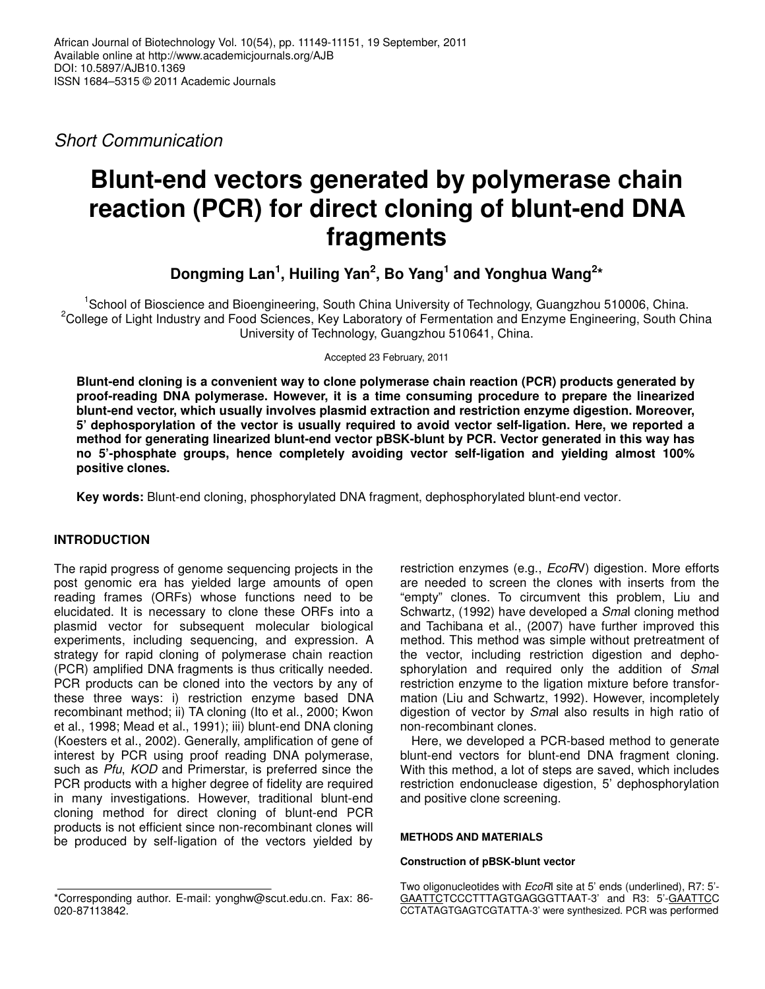*Short Communication*

# **Blunt-end vectors generated by polymerase chain reaction (PCR) for direct cloning of blunt-end DNA fragments**

**Dongming Lan 1 , Huiling Yan 2 , Bo Yang 1 and Yonghua Wang 2 \***

<sup>1</sup>School of Bioscience and Bioengineering, South China University of Technology, Guangzhou 510006, China. <sup>2</sup>College of Light Industry and Food Sciences, Key Laboratory of Fermentation and Enzyme Engineering, South China University of Technology, Guangzhou 510641, China.

Accepted 23 February, 2011

**Blunt-end cloning is a convenient way to clone polymerase chain reaction (PCR) products generated by proof-reading DNA polymerase. However, it is a time consuming procedure to prepare the linearized blunt-end vector, which usually involves plasmid extraction and restriction enzyme digestion. Moreover, 5' dephosporylation of the vector is usually required to avoid vector self-ligation. Here, we reported a method for generating linearized blunt-end vector pBSK-blunt by PCR. Vector generated in this way has no 5'-phosphate groups, hence completely avoiding vector self-ligation and yielding almost 100% positive clones.**

**Key words:** Blunt-end cloning, phosphorylated DNA fragment, dephosphorylated blunt-end vector.

# **INTRODUCTION**

The rapid progress of genome sequencing projects in the post genomic era has yielded large amounts of open reading frames (ORFs) whose functions need to be elucidated. It is necessary to clone these ORFs into a plasmid vector for subsequent molecular biological experiments, including sequencing, and expression. A strategy for rapid cloning of polymerase chain reaction (PCR) amplified DNA fragments is thus critically needed. PCR products can be cloned into the vectors by any of these three ways: i) restriction enzyme based DNA recombinant method; ii) TA cloning (Ito et al., 2000; Kwon et al., 1998; Mead et al., 1991); iii) blunt-end DNA cloning (Koesters et al., 2002). Generally, amplification of gene of interest by PCR using proof reading DNA polymerase, such as *Pfu*, *KOD* and Primerstar, is preferred since the PCR products with a higher degree of fidelity are required in many investigations. However, traditional blunt-end cloning method for direct cloning of blunt-end PCR products is not efficient since non-recombinant clones will be produced by self-ligation of the vectors yielded by

restriction enzymes (e.g., *EcoR*V) digestion. More efforts are needed to screen the clones with inserts from the "empty" clones. To circumvent this problem, Liu and Schwartz, (1992) have developed a *Sma*I cloning method and Tachibana et al., (2007) have further improved this method. This method was simple without pretreatment of the vector, including restriction digestion and dephosphorylation and required only the addition of *Sma*I restriction enzyme to the ligation mixture before transformation (Liu and Schwartz, 1992). However, incompletely digestion of vector by *Sma*I also results in high ratio of non-recombinant clones.

Here, we developed a PCR-based method to generate blunt-end vectors for blunt-end DNA fragment cloning. With this method, a lot of steps are saved, which includes restriction endonuclease digestion, 5' dephosphorylation and positive clone screening.

## **METHODS AND MATERIALS**

## **Construction of pBSK-blunt vector**

<sup>\*</sup>Corresponding author. E-mail: yonghw@scut.edu.cn. Fax: 86- 020-87113842.

Two oligonucleotides with *EcoR*I site at 5' ends (underlined), R7: 5'- GAATTCTCCCTTTAGTGAGGGTTAAT-3' and R3: 5'-GAATTCC CCTATAGTGAGTCGTATTA-3' were synthesized. PCR was performed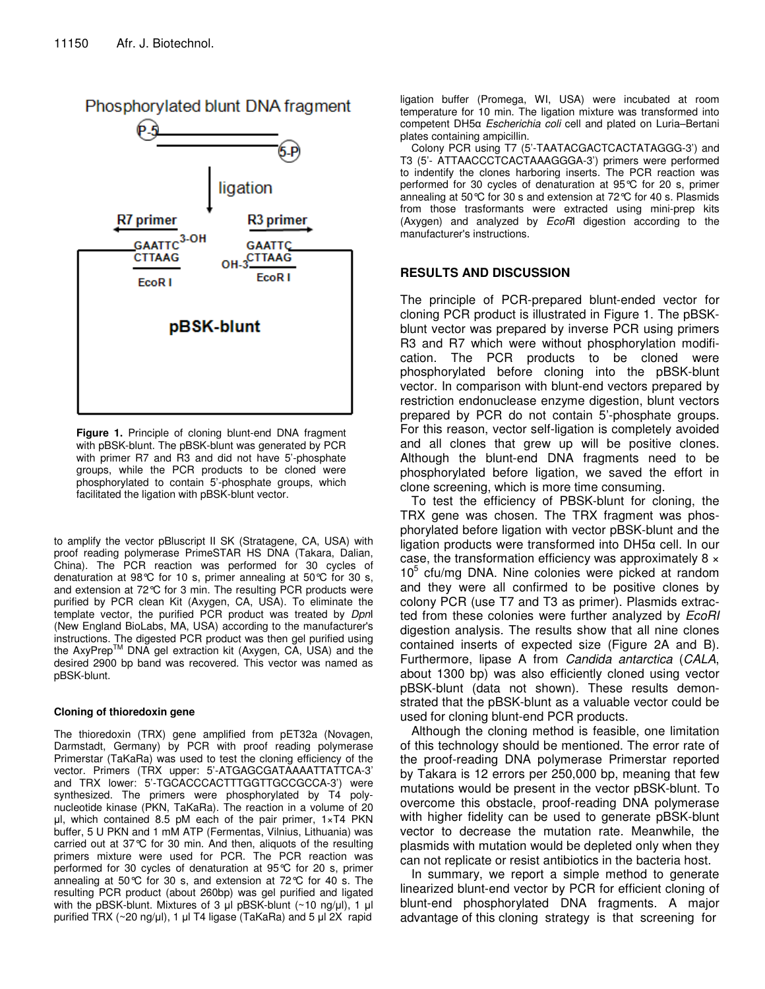

**Figure 1.** Principle of cloning blunt-end DNA fragment with pBSK-blunt. The pBSK-blunt was generated by PCR with primer R7 and R3 and did not have 5'-phosphate groups, while the PCR products to be cloned were phosphorylated to contain 5'-phosphate groups, which facilitated the ligation with pBSK-blunt vector.

to amplify the vector pBluscript II SK (Stratagene, CA, USA) with proof reading polymerase PrimeSTAR HS DNA (Takara, Dalian, China). The PCR reaction was performed for 30 cycles of denaturation at 98°C for 10 s, primer annealing at 50°C for 30 s, and extension at 72°C for 3 min. The resulting PCR products were purified by PCR clean Kit (Axygen, CA, USA). To eliminate the template vector, the purified PCR product was treated by *Dpn*I (New England BioLabs, MA, USA) according to the manufacturer's instructions. The digested PCR product was then gel purified using the AxyPrep<sup>™</sup> DNA gel extraction kit (Axygen, CA, USA) and the desired 2900 bp band was recovered. This vector was named as pBSK-blunt.

#### **Cloning of thioredoxin gene**

The thioredoxin (TRX) gene amplified from pET32a (Novagen, Darmstadt, Germany) by PCR with proof reading polymerase Primerstar (TaKaRa) was used to test the cloning efficiency of the vector. Primers (TRX upper: 5'-ATGAGCGATAAAATTATTCA-3' and TRX lower: 5'-TGCACCCACTTTGGTTGCCGCCA-3') were synthesized. The primers were phosphorylated by T4 polynucleotide kinase (PKN, TaKaRa). The reaction in a volume of 20  $\mu$ l, which contained 8.5 pM each of the pair primer, 1×T4 PKN buffer, 5 U PKN and 1 mM ATP (Fermentas, Vilnius, Lithuania) was carried out at 37°C for 30 min. And then, aliquots of the resulting primers mixture were used for PCR. The PCR reaction was performed for 30 cycles of denaturation at 95°C for 20 s, primer annealing at 50°C for 30 s, and extension at 72°C for 40 s. The resulting PCR product (about 260bp) was gel purified and ligated with the pBSK-blunt. Mixtures of 3  $\mu$ l pBSK-blunt (~10 ng/ $\mu$ l), 1  $\mu$ l purified TRX ( $\sim$ 20 ng/ul), 1 ul T4 ligase (TaKaRa) and 5 ul 2X rapid

ligation buffer (Promega, WI, USA) were incubated at room temperature for 10 min. The ligation mixture was transformed into competent DH5α *Escherichia coli* cell and plated on Luria–Bertani plates containing ampicillin.

Colony PCR using T7 (5'-TAATACGACTCACTATAGGG-3') and T3 (5'- ATTAACCCTCACTAAAGGGA-3') primers were performed to indentify the clones harboring inserts. The PCR reaction was performed for 30 cycles of denaturation at 95°C for 20 s, primer annealing at 50°C for 30 s and extension at 72°C for 40 s. Plasmids from those trasformants were extracted using mini-prep kits (Axygen) and analyzed by *EcoR*I digestion according to the manufacturer's instructions.

#### **RESULTS AND DISCUSSION**

The principle of PCR-prepared blunt-ended vector for cloning PCR product is illustrated in Figure 1. The pBSKblunt vector was prepared by inverse PCR using primers R3 and R7 which were without phosphorylation modification. The PCR products to be cloned were phosphorylated before cloning into the pBSK-blunt vector. In comparison with blunt-end vectors prepared by restriction endonuclease enzyme digestion, blunt vectors prepared by PCR do not contain 5'-phosphate groups. For this reason, vector self-ligation is completely avoided and all clones that grew up will be positive clones. Although the blunt-end DNA fragments need to be phosphorylated before ligation, we saved the effort in clone screening, which is more time consuming.

To test the efficiency of PBSK-blunt for cloning, the TRX gene was chosen. The TRX fragment was phosphorylated before ligation with vector pBSK-blunt and the ligation products were transformed into DH5α cell. In our case, the transformation efficiency was approximately  $8 \times$ 10 5 cfu/mg DNA. Nine colonies were picked at random and they were all confirmed to be positive clones by colony PCR (use T7 and T3 as primer). Plasmids extracted from these colonies were further analyzed by *EcoRI* digestion analysis. The results show that all nine clones contained inserts of expected size (Figure 2A and B). Furthermore, lipase A from *Candida antarctica* (*CALA*, about 1300 bp) was also efficiently cloned using vector pBSK-blunt (data not shown). These results demonstrated that the pBSK-blunt as a valuable vector could be used for cloning blunt-end PCR products.

Although the cloning method is feasible, one limitation of this technology should be mentioned. The error rate of the proof-reading DNA polymerase Primerstar reported by Takara is 12 errors per 250,000 bp, meaning that few mutations would be present in the vector pBSK-blunt. To overcome this obstacle, proof-reading DNA polymerase with higher fidelity can be used to generate pBSK-blunt vector to decrease the mutation rate. Meanwhile, the plasmids with mutation would be depleted only when they can not replicate or resist antibiotics in the bacteria host.

In summary, we report a simple method to generate linearized blunt-end vector by PCR for efficient cloning of blunt-end phosphorylated DNA fragments. A major advantage of this cloning strategy is that screening for